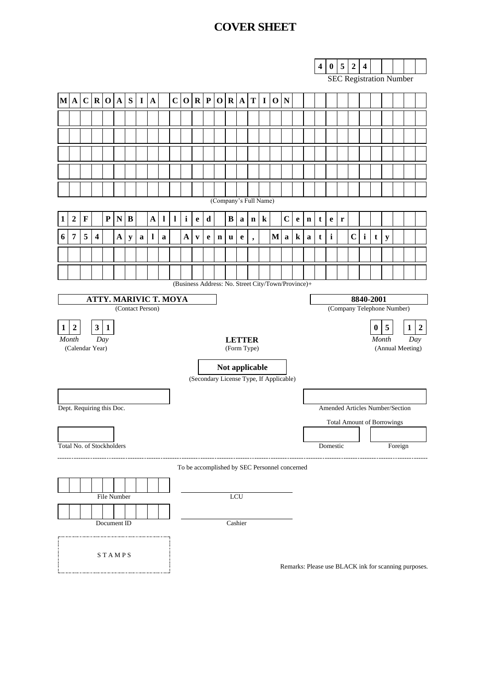## **COVER SHEET**

|                                                  |                                                  |                |                         |              |              |             |              |              |               |              |                               |              |             |             |                                                    |              |             |         |                                         |                                  |             |                                   | $\overline{\mathbf{4}}$ | $\pmb{0}$    | 5           | $\boldsymbol{2}$               | $\overline{\mathbf{4}}$ |          |                |          |                  |
|--------------------------------------------------|--------------------------------------------------|----------------|-------------------------|--------------|--------------|-------------|--------------|--------------|---------------|--------------|-------------------------------|--------------|-------------|-------------|----------------------------------------------------|--------------|-------------|---------|-----------------------------------------|----------------------------------|-------------|-----------------------------------|-------------------------|--------------|-------------|--------------------------------|-------------------------|----------|----------------|----------|------------------|
|                                                  |                                                  |                |                         |              |              |             |              |              |               |              |                               |              |             |             |                                                    |              |             |         |                                         |                                  |             |                                   |                         |              |             | <b>SEC Registration Number</b> |                         |          |                |          |                  |
|                                                  | $M \, A$                                         |                |                         |              | C R O A      | S           | $\mathbf{I}$ | $\mathbf{A}$ |               |              |                               |              |             |             | C O R P O R A                                      |              |             |         | T I 0                                   | $\mathbf N$                      |             |                                   |                         |              |             |                                |                         |          |                |          |                  |
|                                                  |                                                  |                |                         |              |              |             |              |              |               |              |                               |              |             |             |                                                    |              |             |         |                                         |                                  |             |                                   |                         |              |             |                                |                         |          |                |          |                  |
|                                                  |                                                  |                |                         |              |              |             |              |              |               |              |                               |              |             |             |                                                    |              |             |         |                                         |                                  |             |                                   |                         |              |             |                                |                         |          |                |          |                  |
|                                                  |                                                  |                |                         |              |              |             |              |              |               |              |                               |              |             |             |                                                    |              |             |         |                                         |                                  |             |                                   |                         |              |             |                                |                         |          |                |          |                  |
|                                                  |                                                  |                |                         |              |              |             |              |              |               |              |                               |              |             |             |                                                    |              |             |         |                                         |                                  |             |                                   |                         |              |             |                                |                         |          |                |          |                  |
|                                                  |                                                  |                |                         |              |              |             |              |              |               |              |                               |              |             |             |                                                    |              |             |         |                                         |                                  |             |                                   |                         |              |             |                                |                         |          |                |          |                  |
|                                                  |                                                  |                |                         |              |              |             |              |              |               |              |                               |              |             |             | (Company's Full Name)                              |              |             |         |                                         |                                  |             |                                   |                         |              |             |                                |                         |          |                |          |                  |
| 1                                                | $\boldsymbol{2}$                                 | $\mathbf F$    |                         | ${\bf P}$    | ${\bf N}$    | $\bf{B}$    |              | $\mathbf A$  | $\mathbf{l}$  | $\mathbf{l}$ | $\mathbf{i}$                  | $\mathbf e$  | $\mathbf d$ |             | $\bf{B}$                                           | $\mathbf{a}$ | $\mathbf n$ | $\bf k$ |                                         | $\mathbf C$                      | $\mathbf e$ | $\mathbf n$                       | t                       | $\mathbf e$  | $\mathbf r$ |                                |                         |          |                |          |                  |
| 6                                                | $\overline{7}$                                   | $\overline{5}$ | $\overline{\mathbf{4}}$ |              | $\mathbf{A}$ |             | $\mathbf a$  | $\mathbf l$  |               |              | $\mathbf A$                   | $\mathbf{v}$ |             | $\mathbf n$ |                                                    |              |             |         | $\mathbf{M}$                            | $\mathbf a$                      | $\bf k$     |                                   | $\mathbf t$             | $\mathbf{i}$ |             | $\mathbf C$                    | $\mathbf{i}$            | t        |                |          |                  |
|                                                  |                                                  |                |                         |              |              | $\mathbf y$ |              |              | a             |              |                               |              | e           |             | $\mathbf u$                                        | e            | ,           |         |                                         |                                  |             | a                                 |                         |              |             |                                |                         |          | $\mathbf y$    |          |                  |
|                                                  |                                                  |                |                         |              |              |             |              |              |               |              |                               |              |             |             |                                                    |              |             |         |                                         |                                  |             |                                   |                         |              |             |                                |                         |          |                |          |                  |
|                                                  |                                                  |                |                         |              |              |             |              |              |               |              |                               |              |             |             | (Business Address: No. Street City/Town/Province)+ |              |             |         |                                         |                                  |             |                                   |                         |              |             |                                |                         |          |                |          |                  |
|                                                  |                                                  |                |                         |              |              |             |              |              |               |              |                               |              |             |             |                                                    |              |             |         |                                         |                                  |             |                                   |                         |              |             |                                |                         |          |                |          |                  |
|                                                  | <b>ATTY. MARIVIC T. MOYA</b><br>(Contact Person) |                |                         |              |              |             |              |              |               |              |                               |              |             |             |                                                    |              |             |         | 8840-2001<br>(Company Telephone Number) |                                  |             |                                   |                         |              |             |                                |                         |          |                |          |                  |
| $\mathbf{1}$                                     | $\boldsymbol{2}$                                 |                | 3 <sup>7</sup>          | $\mathbf{1}$ |              |             |              |              |               |              |                               |              |             |             |                                                    |              |             |         |                                         |                                  |             |                                   |                         |              |             |                                |                         | $\bf{0}$ | $\overline{5}$ | $1\vert$ | $\boldsymbol{2}$ |
| Month<br>Day                                     |                                                  |                |                         |              |              |             |              |              | <b>LETTER</b> |              |                               |              |             |             |                                                    |              |             |         |                                         | Month<br>Day<br>(Annual Meeting) |             |                                   |                         |              |             |                                |                         |          |                |          |                  |
|                                                  | (Calendar Year)                                  |                |                         |              |              |             |              |              |               |              | (Form Type)<br>Not applicable |              |             |             |                                                    |              |             |         |                                         |                                  |             |                                   |                         |              |             |                                |                         |          |                |          |                  |
|                                                  |                                                  |                |                         |              |              |             |              |              |               |              |                               |              |             |             | (Secondary License Type, If Applicable)            |              |             |         |                                         |                                  |             |                                   |                         |              |             |                                |                         |          |                |          |                  |
|                                                  |                                                  |                |                         |              |              |             |              |              |               |              |                               |              |             |             |                                                    |              |             |         |                                         |                                  |             |                                   |                         |              |             |                                |                         |          |                |          |                  |
|                                                  | Dept. Requiring this Doc.                        |                |                         |              |              |             |              |              |               |              |                               |              |             |             |                                                    |              |             |         |                                         | Amended Articles Number/Section  |             |                                   |                         |              |             |                                |                         |          |                |          |                  |
|                                                  |                                                  |                |                         |              |              |             |              |              |               |              |                               |              |             |             |                                                    |              |             |         |                                         |                                  |             | <b>Total Amount of Borrowings</b> |                         |              |             |                                |                         |          |                |          |                  |
|                                                  |                                                  |                |                         |              |              |             |              |              |               |              |                               |              |             |             |                                                    |              |             |         |                                         |                                  |             |                                   |                         |              |             |                                |                         |          |                |          |                  |
| Total No. of Stockholders<br>Foreign<br>Domestic |                                                  |                |                         |              |              |             |              |              |               |              |                               |              |             |             |                                                    |              |             |         |                                         |                                  |             |                                   |                         |              |             |                                |                         |          |                |          |                  |
|                                                  |                                                  |                |                         |              |              |             |              |              |               |              |                               |              |             |             | To be accomplished by SEC Personnel concerned      |              |             |         |                                         |                                  |             |                                   |                         |              |             |                                |                         |          |                |          |                  |
|                                                  |                                                  |                |                         |              |              |             |              |              |               |              |                               |              |             |             |                                                    |              |             |         |                                         |                                  |             |                                   |                         |              |             |                                |                         |          |                |          |                  |
|                                                  |                                                  |                |                         |              | File Number  |             |              |              |               |              |                               |              |             |             | LCU                                                |              |             |         |                                         |                                  |             |                                   |                         |              |             |                                |                         |          |                |          |                  |
|                                                  |                                                  |                |                         |              |              |             |              |              |               |              |                               |              |             |             |                                                    |              |             |         |                                         |                                  |             |                                   |                         |              |             |                                |                         |          |                |          |                  |
|                                                  |                                                  |                |                         |              | Document ID  |             |              |              |               |              |                               |              |             |             | Cashier                                            |              |             |         |                                         |                                  |             |                                   |                         |              |             |                                |                         |          |                |          |                  |
|                                                  |                                                  |                |                         |              |              |             |              |              |               |              |                               |              |             |             |                                                    |              |             |         |                                         |                                  |             |                                   |                         |              |             |                                |                         |          |                |          |                  |
|                                                  |                                                  |                |                         |              | STAMPS       |             |              |              |               |              |                               |              |             |             |                                                    |              |             |         |                                         |                                  |             |                                   |                         |              |             |                                |                         |          |                |          |                  |